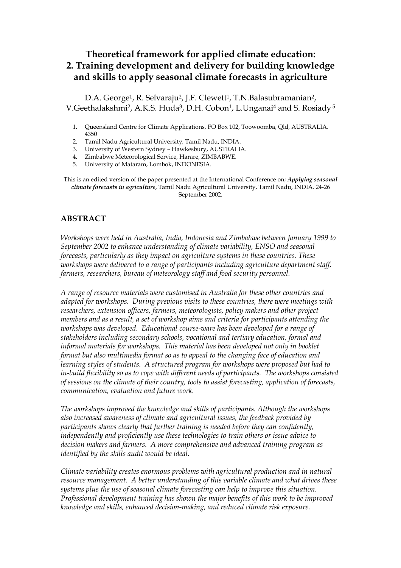# **Theoretical framework for applied climate education: 2. Training development and delivery for building knowledge and skills to apply seasonal climate forecasts in agriculture**

D.A. George<sup>1</sup>, R. Selvaraju<sup>2</sup>, J.F. Clewett<sup>1</sup>, T.N. Balasubramanian<sup>2</sup>, V.Geethalakshmi<sup>2</sup>, A.K.S. Huda<sup>3</sup>, D.H. Cobon<sup>1</sup>, L.Unganai<sup>4</sup> and S. Rosiady<sup>5</sup>

- 1. Queensland Centre for Climate Applications, PO Box 102, Toowoomba, Qld, AUSTRALIA. 4350
- 2. Tamil Nadu Agricultural University, Tamil Nadu, INDIA.
- 3. University of Western Sydney Hawkesbury, AUSTRALIA.
- 4. Zimbabwe Meteorological Service, Harare, ZIMBABWE.
- 5. University of Mataram, Lombok, INDONESIA.

This is an edited version of the paper presented at the International Conference on; *Applying seasonal climate forecasts in agriculture*, Tamil Nadu Agricultural University, Tamil Nadu, INDIA. 24-26 September 2002.

### **ABSTRACT**

*Workshops were held in Australia, India, Indonesia and Zimbabwe between January 1999 to September 2002 to enhance understanding of climate variability, ENSO and seasonal forecasts, particularly as they impact on agriculture systems in these countries. These workshops were delivered to a range of participants including agriculture department staff, farmers, researchers, bureau of meteorology staff and food security personnel.* 

*A range of resource materials were customised in Australia for these other countries and adapted for workshops. During previous visits to these countries, there were meetings with researchers, extension officers, farmers, meteorologists, policy makers and other project members and as a result, a set of workshop aims and criteria for participants attending the workshops was developed. Educational course-ware has been developed for a range of stakeholders including secondary schools, vocational and tertiary education, formal and informal materials for workshops. This material has been developed not only in booklet format but also multimedia format so as to appeal to the changing face of education and learning styles of students. A structured program for workshops were proposed but had to in-build flexibility so as to cope with different needs of participants. The workshops consisted of sessions on the climate of their country, tools to assist forecasting, application of forecasts, communication, evaluation and future work.* 

*The workshops improved the knowledge and skills of participants. Although the workshops also increased awareness of climate and agricultural issues, the feedback provided by participants shows clearly that further training is needed before they can confidently, independently and proficiently use these technologies to train others or issue advice to decision makers and farmers. A more comprehensive and advanced training program as identified by the skills audit would be ideal.* 

*Climate variability creates enormous problems with agricultural production and in natural resource management. A better understanding of this variable climate and what drives these systems plus the use of seasonal climate forecasting can help to improve this situation. Professional development training has shown the major benefits of this work to be improved knowledge and skills, enhanced decision-making, and reduced climate risk exposure.*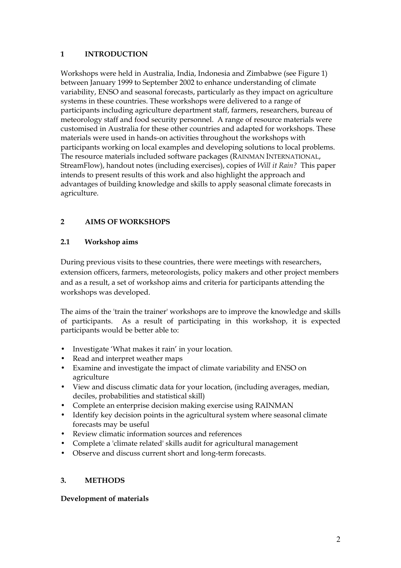#### **1 INTRODUCTION**

Workshops were held in Australia, India, Indonesia and Zimbabwe (see Figure 1) between January 1999 to September 2002 to enhance understanding of climate variability, ENSO and seasonal forecasts, particularly as they impact on agriculture systems in these countries. These workshops were delivered to a range of participants including agriculture department staff, farmers, researchers, bureau of meteorology staff and food security personnel. A range of resource materials were customised in Australia for these other countries and adapted for workshops. These materials were used in hands-on activities throughout the workshops with participants working on local examples and developing solutions to local problems. The resource materials included software packages (RAINMAN INTERNATIONAL, StreamFlow), handout notes (including exercises), copies of *Will it Rain?* This paper intends to present results of this work and also highlight the approach and advantages of building knowledge and skills to apply seasonal climate forecasts in agriculture.

# **2 AIMS OF WORKSHOPS**

#### **2.1 Workshop aims**

During previous visits to these countries, there were meetings with researchers, extension officers, farmers, meteorologists, policy makers and other project members and as a result, a set of workshop aims and criteria for participants attending the workshops was developed.

The aims of the 'train the trainer' workshops are to improve the knowledge and skills of participants. As a result of participating in this workshop, it is expected participants would be better able to:

- Investigate 'What makes it rain' in your location.
- Read and interpret weather maps
- Examine and investigate the impact of climate variability and ENSO on agriculture
- View and discuss climatic data for your location, (including averages, median, deciles, probabilities and statistical skill)
- Complete an enterprise decision making exercise using RAINMAN
- Identify key decision points in the agricultural system where seasonal climate forecasts may be useful
- Review climatic information sources and references
- Complete a 'climate related' skills audit for agricultural management
- Observe and discuss current short and long-term forecasts.

#### **3. METHODS**

#### **Development of materials**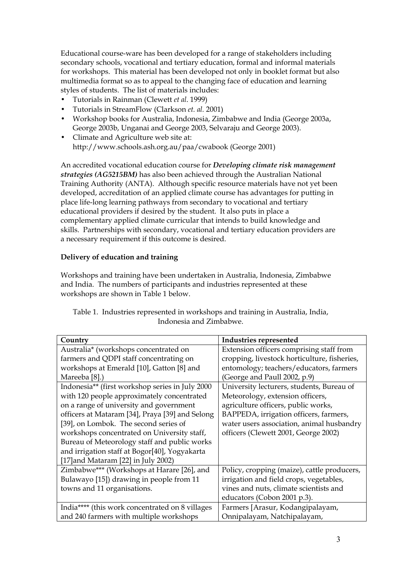Educational course-ware has been developed for a range of stakeholders including secondary schools, vocational and tertiary education, formal and informal materials for workshops. This material has been developed not only in booklet format but also multimedia format so as to appeal to the changing face of education and learning styles of students. The list of materials includes:

- Tutorials in Rainman (Clewett *et al*. 1999)
- Tutorials in StreamFlow (Clarkson *et. al.* 2001)
- Workshop books for Australia, Indonesia, Zimbabwe and India (George 2003a, George 2003b, Unganai and George 2003, Selvaraju and George 2003).
- Climate and Agriculture web site at: http://www.schools.ash.org.au/paa/cwabook (George 2001)

An accredited vocational education course for *Developing climate risk management strategies (AG5215BM)* has also been achieved through the Australian National Training Authority (ANTA). Although specific resource materials have not yet been developed, accreditation of an applied climate course has advantages for putting in place life-long learning pathways from secondary to vocational and tertiary educational providers if desired by the student. It also puts in place a complementary applied climate curricular that intends to build knowledge and skills. Partnerships with secondary, vocational and tertiary education providers are a necessary requirement if this outcome is desired.

#### **Delivery of education and training**

Workshops and training have been undertaken in Australia, Indonesia, Zimbabwe and India. The numbers of participants and industries represented at these workshops are shown in Table 1 below.

| Country                                         | Industries represented                       |
|-------------------------------------------------|----------------------------------------------|
| Australia* (workshops concentrated on           | Extension officers comprising staff from     |
| farmers and QDPI staff concentrating on         | cropping, livestock horticulture, fisheries, |
| workshops at Emerald [10], Gatton [8] and       | entomology; teachers/educators, farmers      |
| Mareeba [8].)                                   | (George and Paull 2002, p.9)                 |
| Indonesia** (first workshop series in July 2000 | University lecturers, students, Bureau of    |
| with 120 people approximately concentrated      | Meteorology, extension officers,             |
| on a range of university and government         | agriculture officers, public works,          |
| officers at Mataram [34], Praya [39] and Selong | BAPPEDA, irrigation officers, farmers,       |
| [39], on Lombok. The second series of           | water users association, animal husbandry    |
| workshops concentrated on University staff,     | officers (Clewett 2001, George 2002)         |
| Bureau of Meteorology staff and public works    |                                              |
| and irrigation staff at Bogor[40], Yogyakarta   |                                              |
| [17] and Mataram [22] in July 2002)             |                                              |
| Zimbabwe*** (Workshops at Harare [26], and      | Policy, cropping (maize), cattle producers,  |
| Bulawayo [15]) drawing in people from 11        | irrigation and field crops, vegetables,      |
| towns and 11 organisations.                     | vines and nuts, climate scientists and       |
|                                                 | educators (Cobon 2001 p.3).                  |
| India**** (this work concentrated on 8 villages | Farmers [Arasur, Kodangipalayam,             |
| and 240 farmers with multiple workshops         | Onnipalayam, Natchipalayam,                  |

Table 1. Industries represented in workshops and training in Australia, India, Indonesia and Zimbabwe.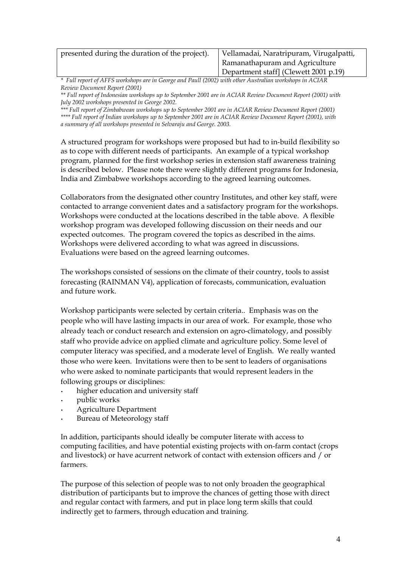| presented during the duration of the project). | Vellamadai, Naratripuram, Virugalpatti, |
|------------------------------------------------|-----------------------------------------|
|                                                | Ramanathapuram and Agriculture          |
|                                                | Department staff] (Clewett 2001 p.19)   |

*\* Full report of AFFS workshops are in George and Paull (2002) with other Australian workshops in ACIAR Review Document Report (2001)* 

*\*\* Full report of Indonesian workshops up to September 2001 are in ACIAR Review Document Report (2001) with July 2002 workshops presented in George 2002.* 

*\*\*\* Full report of Zimbabwean workshops up to September 2001 are in ACIAR Review Document Report (2001) \*\*\*\* Full report of Indian workshops up to September 2001 are in ACIAR Review Document Report (2001), with a summary of all workshops presented in Selvaraju and George. 2003.*

A structured program for workshops were proposed but had to in-build flexibility so as to cope with different needs of participants. An example of a typical workshop program, planned for the first workshop series in extension staff awareness training is described below. Please note there were slightly different programs for Indonesia, India and Zimbabwe workshops according to the agreed learning outcomes.

Collaborators from the designated other country Institutes, and other key staff, were contacted to arrange convenient dates and a satisfactory program for the workshops. Workshops were conducted at the locations described in the table above. A flexible workshop program was developed following discussion on their needs and our expected outcomes. The program covered the topics as described in the aims. Workshops were delivered according to what was agreed in discussions. Evaluations were based on the agreed learning outcomes.

The workshops consisted of sessions on the climate of their country, tools to assist forecasting (RAINMAN V4), application of forecasts, communication, evaluation and future work.

Workshop participants were selected by certain criteria.. Emphasis was on the people who will have lasting impacts in our area of work. For example, those who already teach or conduct research and extension on agro-climatology, and possibly staff who provide advice on applied climate and agriculture policy. Some level of computer literacy was specified, and a moderate level of English. We really wanted those who were keen. Invitations were then to be sent to leaders of organisations who were asked to nominate participants that would represent leaders in the following groups or disciplines:

- higher education and university staff
- public works
- Agriculture Department
- Bureau of Meteorology staff

In addition, participants should ideally be computer literate with access to computing facilities, and have potential existing projects with on-farm contact (crops and livestock) or have acurrent network of contact with extension officers and / or farmers.

The purpose of this selection of people was to not only broaden the geographical distribution of participants but to improve the chances of getting those with direct and regular contact with farmers, and put in place long term skills that could indirectly get to farmers, through education and training.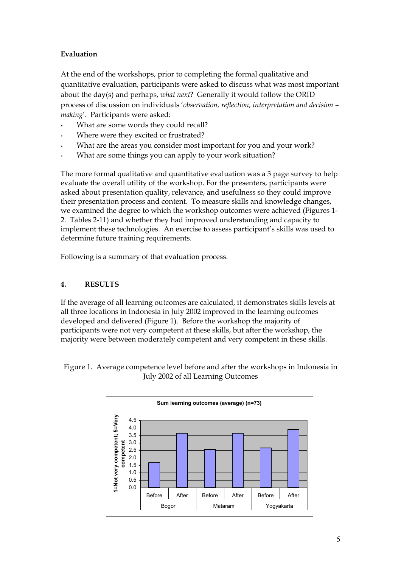## **Evaluation**

At the end of the workshops, prior to completing the formal qualitative and quantitative evaluation, participants were asked to discuss what was most important about the day(s) and perhaps, *what next*? Generally it would follow the ORID process of discussion on individuals '*observation, reflection, interpretation and decision – making*'. Participants were asked:

- What are some words they could recall?
- Where were they excited or frustrated?
- What are the areas you consider most important for you and your work?
- What are some things you can apply to your work situation?

The more formal qualitative and quantitative evaluation was a 3 page survey to help evaluate the overall utility of the workshop. For the presenters, participants were asked about presentation quality, relevance, and usefulness so they could improve their presentation process and content. To measure skills and knowledge changes, we examined the degree to which the workshop outcomes were achieved (Figures 1- 2. Tables 2-11) and whether they had improved understanding and capacity to implement these technologies. An exercise to assess participant's skills was used to determine future training requirements.

Following is a summary of that evaluation process.

### **4. RESULTS**

If the average of all learning outcomes are calculated, it demonstrates skills levels at all three locations in Indonesia in July 2002 improved in the learning outcomes developed and delivered (Figure 1). Before the workshop the majority of participants were not very competent at these skills, but after the workshop, the majority were between moderately competent and very competent in these skills.

Figure 1. Average competence level before and after the workshops in Indonesia in July 2002 of all Learning Outcomes

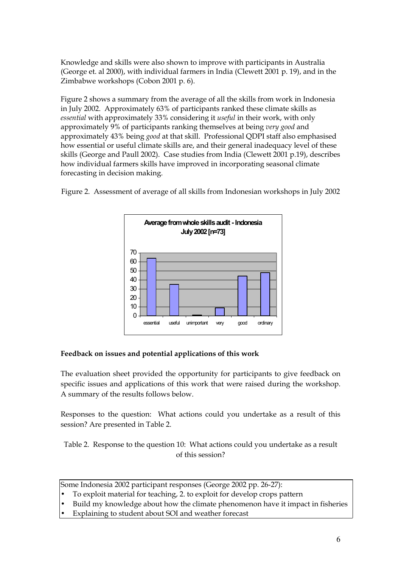Knowledge and skills were also shown to improve with participants in Australia (George et. al 2000), with individual farmers in India (Clewett 2001 p. 19), and in the Zimbabwe workshops (Cobon 2001 p. 6).

Figure 2 shows a summary from the average of all the skills from work in Indonesia in July 2002. Approximately 63% of participants ranked these climate skills as *essential* with approximately 33% considering it *useful* in their work, with only approximately 9% of participants ranking themselves at being *very good* and approximately 43% being *good* at that skill. Professional QDPI staff also emphasised how essential or useful climate skills are, and their general inadequacy level of these skills (George and Paull 2002). Case studies from India (Clewett 2001 p.19), describes how individual farmers skills have improved in incorporating seasonal climate forecasting in decision making.



Figure 2. Assessment of average of all skills from Indonesian workshops in July 2002

#### **Feedback on issues and potential applications of this work**

The evaluation sheet provided the opportunity for participants to give feedback on specific issues and applications of this work that were raised during the workshop. A summary of the results follows below.

Responses to the question: What actions could you undertake as a result of this session? Are presented in Table 2.

Table 2. Response to the question 10: What actions could you undertake as a result of this session?

Some Indonesia 2002 participant responses (George 2002 pp. 26-27):

- To exploit material for teaching, 2. to exploit for develop crops pattern
- Build my knowledge about how the climate phenomenon have it impact in fisheries
- Explaining to student about SOI and weather forecast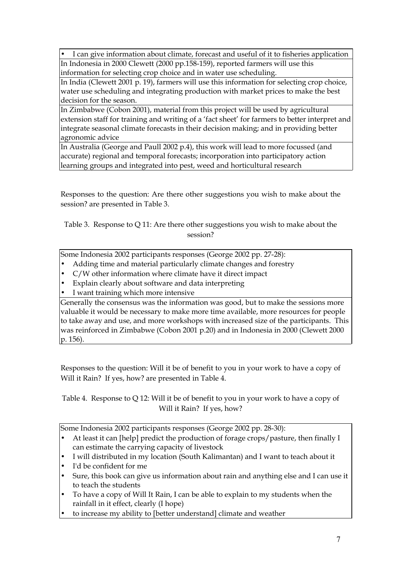• I can give information about climate, forecast and useful of it to fisheries application In Indonesia in 2000 Clewett (2000 pp.158-159), reported farmers will use this information for selecting crop choice and in water use scheduling.

In India (Clewett 2001 p. 19), farmers will use this information for selecting crop choice, water use scheduling and integrating production with market prices to make the best decision for the season.

In Zimbabwe (Cobon 2001), material from this project will be used by agricultural extension staff for training and writing of a 'fact sheet' for farmers to better interpret and integrate seasonal climate forecasts in their decision making; and in providing better agronomic advice

In Australia (George and Paull 2002 p.4), this work will lead to more focussed (and accurate) regional and temporal forecasts; incorporation into participatory action learning groups and integrated into pest, weed and horticultural research

Responses to the question: Are there other suggestions you wish to make about the session? are presented in Table 3.

Table 3. Response to Q 11: Are there other suggestions you wish to make about the session?

Some Indonesia 2002 participants responses (George 2002 pp. 27-28):

- Adding time and material particularly climate changes and forestry
- C/W other information where climate have it direct impact
- Explain clearly about software and data interpreting
- I want training which more intensive

Generally the consensus was the information was good, but to make the sessions more valuable it would be necessary to make more time available, more resources for people to take away and use, and more workshops with increased size of the participants. This was reinforced in Zimbabwe (Cobon 2001 p.20) and in Indonesia in 2000 (Clewett 2000 p. 156).

Responses to the question: Will it be of benefit to you in your work to have a copy of Will it Rain? If yes, how? are presented in Table 4.

Table 4. Response to Q 12: Will it be of benefit to you in your work to have a copy of Will it Rain? If yes, how?

Some Indonesia 2002 participants responses (George 2002 pp. 28-30):

- At least it can [help] predict the production of forage crops/pasture, then finally I can estimate the carrying capacity of livestock
- I will distributed in my location (South Kalimantan) and I want to teach about it
- I'd be confident for me
- Sure, this book can give us information about rain and anything else and I can use it to teach the students
- To have a copy of Will It Rain, I can be able to explain to my students when the rainfall in it effect, clearly (I hope)
- to increase my ability to [better understand] climate and weather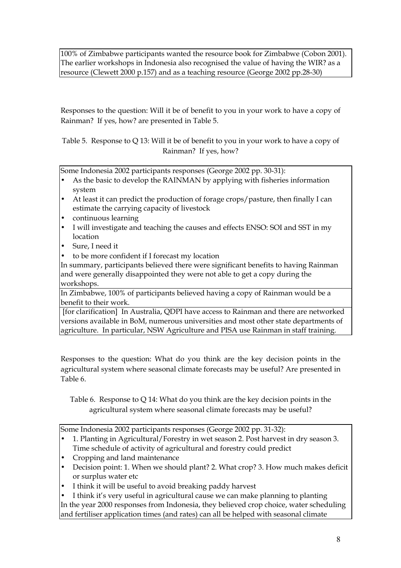100% of Zimbabwe participants wanted the resource book for Zimbabwe (Cobon 2001). The earlier workshops in Indonesia also recognised the value of having the WIR? as a resource (Clewett 2000 p.157) and as a teaching resource (George 2002 pp.28-30)

Responses to the question: Will it be of benefit to you in your work to have a copy of Rainman? If yes, how? are presented in Table 5.

Table 5. Response to Q 13: Will it be of benefit to you in your work to have a copy of Rainman? If yes, how?

Some Indonesia 2002 participants responses (George 2002 pp. 30-31):

- As the basic to develop the RAINMAN by applying with fisheries information system
- At least it can predict the production of forage crops/pasture, then finally I can estimate the carrying capacity of livestock
- continuous learning
- I will investigate and teaching the causes and effects ENSO: SOI and SST in my location
- Sure, I need it
- to be more confident if I forecast my location

In summary, participants believed there were significant benefits to having Rainman and were generally disappointed they were not able to get a copy during the workshops.

In Zimbabwe, 100% of participants believed having a copy of Rainman would be a benefit to their work.

 [for clarification] In Australia, QDPI have access to Rainman and there are networked versions available in BoM, numerous universities and most other state departments of agriculture. In particular, NSW Agriculture and PISA use Rainman in staff training.

Responses to the question: What do you think are the key decision points in the agricultural system where seasonal climate forecasts may be useful? Are presented in Table 6.

Table 6. Response to Q 14: What do you think are the key decision points in the agricultural system where seasonal climate forecasts may be useful?

Some Indonesia 2002 participants responses (George 2002 pp. 31-32):

- 1. Planting in Agricultural/Forestry in wet season 2. Post harvest in dry season 3. Time schedule of activity of agricultural and forestry could predict
- Cropping and land maintenance
- Decision point: 1. When we should plant? 2. What crop? 3. How much makes deficit or surplus water etc
- I think it will be useful to avoid breaking paddy harvest

• I think it's very useful in agricultural cause we can make planning to planting In the year 2000 responses from Indonesia, they believed crop choice, water scheduling and fertiliser application times (and rates) can all be helped with seasonal climate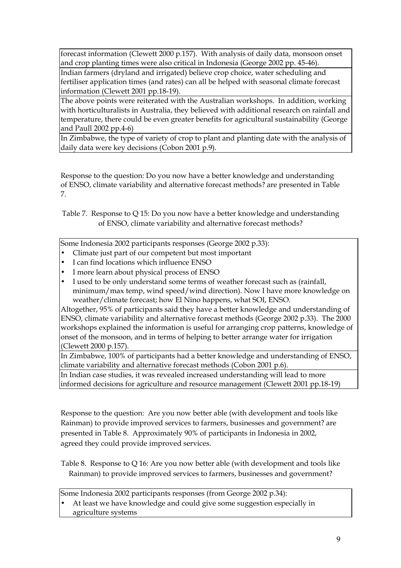forecast information (Clewett 2000 p.157). With analysis of daily data, monsoon onset and crop planting times were also critical in Indonesia (George 2002 pp. 45-46).

Indian farmers (dryland and irrigated) believe crop choice, water scheduling and fertiliser application times (and rates) can all be helped with seasonal climate forecast information (Clewett 2001 pp.18-19).

The above points were reiterated with the Australian workshops. In addition, working with horticulturalists in Australia, they believed with additional research on rainfall and temperature, there could be even greater benefits for agricultural sustainability (George and Paull 2002 pp.4-6)

In Zimbabwe, the type of variety of crop to plant and planting date with the analysis of daily data were key decisions (Cobon 2001 p.9).

Response to the question: Do you now have a better knowledge and understanding of ENSO, climate variability and alternative forecast methods? are presented in Table 7.

Table 7. Response to Q 15: Do you now have a better knowledge and understanding of ENSO, climate variability and alternative forecast methods?

Some Indonesia 2002 participants responses (George 2002 p.33):

- Climate just part of our competent but most important
- I can find locations which influence ENSO
- I more learn about physical process of ENSO
- I used to be only understand some terms of weather forecast such as (rainfall, minimum/max temp, wind speed/wind direction). Now I have more knowledge on weather/climate forecast; how El Nino happens, what SOI, ENSO.

Altogether, 95% of participants said they have a better knowledge and understanding of ENSO, climate variability and alternative forecast methods (George 2002 p.33). The 2000 workshops explained the information is useful for arranging crop patterns, knowledge of onset of the monsoon, and in terms of helping to better arrange water for irrigation (Clewett 2000 p.157).

In Zimbabwe, 100% of participants had a better knowledge and understanding of ENSO, climate variability and alternative forecast methods (Cobon 2001 p.6).

In Indian case studies, it was revealed increased understanding will lead to more informed decisions for agriculture and resource management (Clewett 2001 pp.18-19)

Response to the question: Are you now better able (with development and tools like Rainman) to provide improved services to farmers, businesses and government? are presented in Table 8. Approximately 90% of participants in Indonesia in 2002, agreed they could provide improved services.

Table 8. Response to Q 16: Are you now better able (with development and tools like Rainman) to provide improved services to farmers, businesses and government?

Some Indonesia 2002 participants responses (from George 2002 p.34):

- At least we have knowledge and could give some suggestion especially in
	- agriculture systems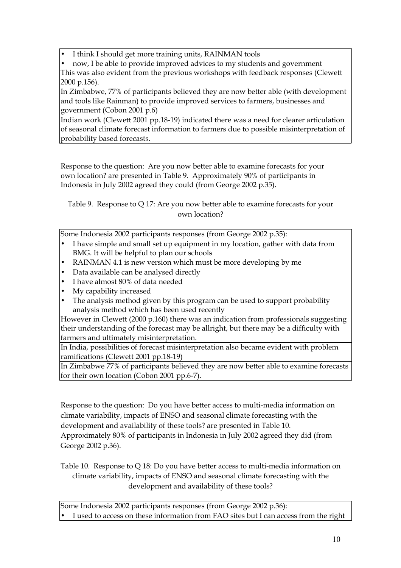• I think I should get more training units, RAINMAN tools

• now, I be able to provide improved advices to my students and government This was also evident from the previous workshops with feedback responses (Clewett 2000 p.156).

In Zimbabwe, 77% of participants believed they are now better able (with development and tools like Rainman) to provide improved services to farmers, businesses and government (Cobon 2001 p.6)

Indian work (Clewett 2001 pp.18-19) indicated there was a need for clearer articulation of seasonal climate forecast information to farmers due to possible misinterpretation of probability based forecasts.

Response to the question: Are you now better able to examine forecasts for your own location? are presented in Table 9. Approximately 90% of participants in Indonesia in July 2002 agreed they could (from George 2002 p.35).

Table 9. Response to Q 17: Are you now better able to examine forecasts for your own location?

Some Indonesia 2002 participants responses (from George 2002 p.35):

- I have simple and small set up equipment in my location, gather with data from BMG. It will be helpful to plan our schools
- RAINMAN 4.1 is new version which must be more developing by me
- Data available can be analysed directly
- I have almost 80% of data needed
- My capability increased
- The analysis method given by this program can be used to support probability analysis method which has been used recently

However in Clewett (2000 p.160) there was an indication from professionals suggesting their understanding of the forecast may be allright, but there may be a difficulty with farmers and ultimately misinterpretation.

In India, possibilities of forecast misinterpretation also became evident with problem ramifications (Clewett 2001 pp.18-19)

In Zimbabwe 77% of participants believed they are now better able to examine forecasts for their own location (Cobon 2001 pp.6-7).

Response to the question: Do you have better access to multi-media information on climate variability, impacts of ENSO and seasonal climate forecasting with the development and availability of these tools? are presented in Table 10. Approximately 80% of participants in Indonesia in July 2002 agreed they did (from George 2002 p.36).

Table 10. Response to Q 18: Do you have better access to multi-media information on climate variability, impacts of ENSO and seasonal climate forecasting with the development and availability of these tools?

Some Indonesia 2002 participants responses (from George 2002 p.36): I used to access on these information from FAO sites but I can access from the right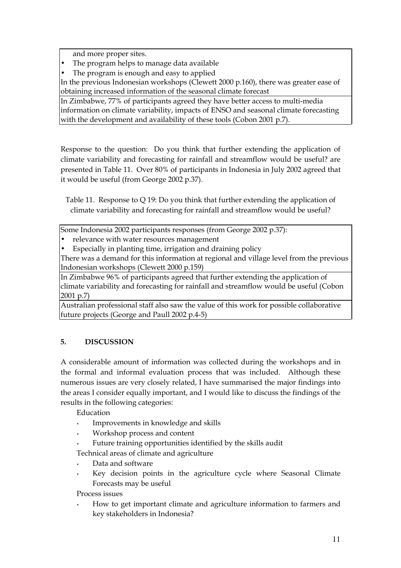and more proper sites.

- The program helps to manage data available
- The program is enough and easy to applied

In the previous Indonesian workshops (Clewett 2000 p.160), there was greater ease of obtaining increased information of the seasonal climate forecast

In Zimbabwe, 77% of participants agreed they have better access to multi-media information on climate variability, impacts of ENSO and seasonal climate forecasting with the development and availability of these tools (Cobon 2001 p.7).

Response to the question: Do you think that further extending the application of climate variability and forecasting for rainfall and streamflow would be useful? are presented in Table 11. Over 80% of participants in Indonesia in July 2002 agreed that it would be useful (from George 2002 p.37).

Table 11. Response to Q 19: Do you think that further extending the application of climate variability and forecasting for rainfall and streamflow would be useful?

Some Indonesia 2002 participants responses (from George 2002 p.37):

- relevance with water resources management
- Especially in planting time, irrigation and draining policy

There was a demand for this information at regional and village level from the previous Indonesian workshops (Clewett 2000 p.159)

In Zimbabwe 96% of participants agreed that further extending the application of climate variability and forecasting for rainfall and streamflow would be useful (Cobon 2001 p.7)

Australian professional staff also saw the value of this work for possible collaborative future projects (George and Paull 2002 p.4-5)

# **5. DISCUSSION**

A considerable amount of information was collected during the workshops and in the formal and informal evaluation process that was included. Although these numerous issues are very closely related, I have summarised the major findings into the areas I consider equally important, and I would like to discuss the findings of the results in the following categories:

Education

- Improvements in knowledge and skills
- Workshop process and content
- Future training opportunities identified by the skills audit

Technical areas of climate and agriculture

- Data and software
- Key decision points in the agriculture cycle where Seasonal Climate Forecasts may be useful

Process issues

• How to get important climate and agriculture information to farmers and key stakeholders in Indonesia?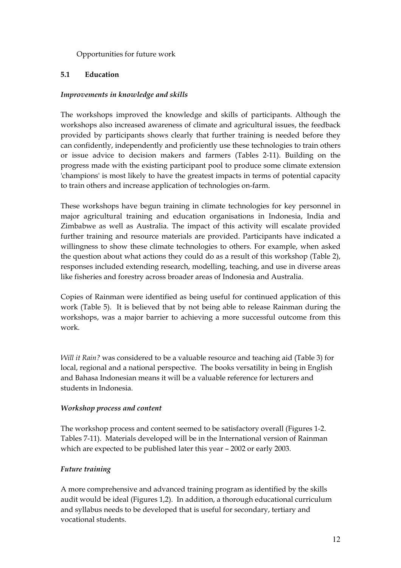#### Opportunities for future work

#### **5.1 Education**

#### *Improvements in knowledge and skills*

The workshops improved the knowledge and skills of participants. Although the workshops also increased awareness of climate and agricultural issues, the feedback provided by participants shows clearly that further training is needed before they can confidently, independently and proficiently use these technologies to train others or issue advice to decision makers and farmers (Tables 2-11). Building on the progress made with the existing participant pool to produce some climate extension 'champions' is most likely to have the greatest impacts in terms of potential capacity to train others and increase application of technologies on-farm.

These workshops have begun training in climate technologies for key personnel in major agricultural training and education organisations in Indonesia, India and Zimbabwe as well as Australia. The impact of this activity will escalate provided further training and resource materials are provided. Participants have indicated a willingness to show these climate technologies to others. For example, when asked the question about what actions they could do as a result of this workshop (Table 2), responses included extending research, modelling, teaching, and use in diverse areas like fisheries and forestry across broader areas of Indonesia and Australia.

Copies of Rainman were identified as being useful for continued application of this work (Table 5). It is believed that by not being able to release Rainman during the workshops, was a major barrier to achieving a more successful outcome from this work.

*Will it Rain?* was considered to be a valuable resource and teaching aid (Table 3) for local, regional and a national perspective. The books versatility in being in English and Bahasa Indonesian means it will be a valuable reference for lecturers and students in Indonesia.

#### *Workshop process and content*

The workshop process and content seemed to be satisfactory overall (Figures 1-2. Tables 7-11). Materials developed will be in the International version of Rainman which are expected to be published later this year – 2002 or early 2003.

#### *Future training*

A more comprehensive and advanced training program as identified by the skills audit would be ideal (Figures 1,2). In addition, a thorough educational curriculum and syllabus needs to be developed that is useful for secondary, tertiary and vocational students.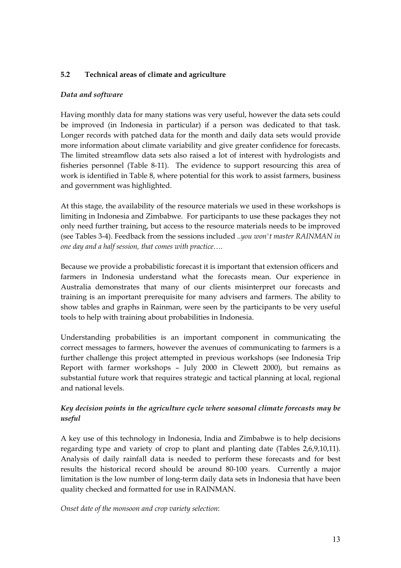#### **5.2 Technical areas of climate and agriculture**

#### *Data and software*

Having monthly data for many stations was very useful, however the data sets could be improved (in Indonesia in particular) if a person was dedicated to that task. Longer records with patched data for the month and daily data sets would provide more information about climate variability and give greater confidence for forecasts. The limited streamflow data sets also raised a lot of interest with hydrologists and fisheries personnel (Table 8-11). The evidence to support resourcing this area of work is identified in Table 8, where potential for this work to assist farmers, business and government was highlighted.

At this stage, the availability of the resource materials we used in these workshops is limiting in Indonesia and Zimbabwe. For participants to use these packages they not only need further training, but access to the resource materials needs to be improved (see Tables 3-4). Feedback from the sessions included *..you won't master RAINMAN in one day and a half session, that comes with practice….* 

Because we provide a probabilistic forecast it is important that extension officers and farmers in Indonesia understand what the forecasts mean. Our experience in Australia demonstrates that many of our clients misinterpret our forecasts and training is an important prerequisite for many advisers and farmers. The ability to show tables and graphs in Rainman, were seen by the participants to be very useful tools to help with training about probabilities in Indonesia.

Understanding probabilities is an important component in communicating the correct messages to farmers, however the avenues of communicating to farmers is a further challenge this project attempted in previous workshops (see Indonesia Trip Report with farmer workshops – July 2000 in Clewett 2000), but remains as substantial future work that requires strategic and tactical planning at local, regional and national levels.

### *Key decision points in the agriculture cycle where seasonal climate forecasts may be useful*

A key use of this technology in Indonesia, India and Zimbabwe is to help decisions regarding type and variety of crop to plant and planting date (Tables 2,6,9,10,11). Analysis of daily rainfall data is needed to perform these forecasts and for best results the historical record should be around 80-100 years. Currently a major limitation is the low number of long-term daily data sets in Indonesia that have been quality checked and formatted for use in RAINMAN.

*Onset date of the monsoon and crop variety selection*: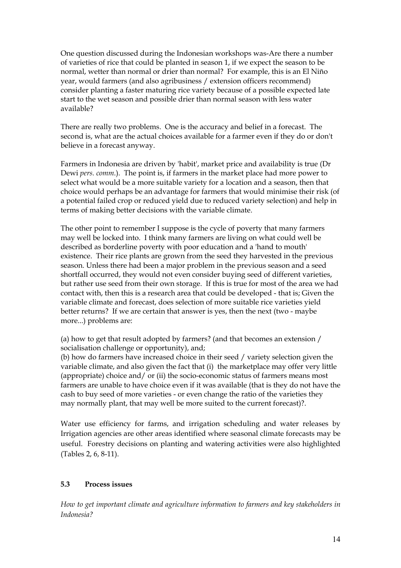One question discussed during the Indonesian workshops was-Are there a number of varieties of rice that could be planted in season 1, if we expect the season to be normal, wetter than normal or drier than normal? For example, this is an El Niño year, would farmers (and also agribusiness / extension officers recommend) consider planting a faster maturing rice variety because of a possible expected late start to the wet season and possible drier than normal season with less water available?

There are really two problems. One is the accuracy and belief in a forecast. The second is, what are the actual choices available for a farmer even if they do or don't believe in a forecast anyway.

Farmers in Indonesia are driven by 'habit', market price and availability is true (Dr Dewi *pers. comm*.). The point is, if farmers in the market place had more power to select what would be a more suitable variety for a location and a season, then that choice would perhaps be an advantage for farmers that would minimise their risk (of a potential failed crop or reduced yield due to reduced variety selection) and help in terms of making better decisions with the variable climate.

The other point to remember I suppose is the cycle of poverty that many farmers may well be locked into. I think many farmers are living on what could well be described as borderline poverty with poor education and a 'hand to mouth' existence. Their rice plants are grown from the seed they harvested in the previous season. Unless there had been a major problem in the previous season and a seed shortfall occurred, they would not even consider buying seed of different varieties, but rather use seed from their own storage. If this is true for most of the area we had contact with, then this is a research area that could be developed - that is; Given the variable climate and forecast, does selection of more suitable rice varieties yield better returns? If we are certain that answer is yes, then the next (two - maybe more...) problems are:

(a) how to get that result adopted by farmers? (and that becomes an extension / socialisation challenge or opportunity), and;

(b) how do farmers have increased choice in their seed / variety selection given the variable climate, and also given the fact that (i) the marketplace may offer very little (appropriate) choice and/ or (ii) the socio-economic status of farmers means most farmers are unable to have choice even if it was available (that is they do not have the cash to buy seed of more varieties - or even change the ratio of the varieties they may normally plant, that may well be more suited to the current forecast)?.

Water use efficiency for farms, and irrigation scheduling and water releases by Irrigation agencies are other areas identified where seasonal climate forecasts may be useful. Forestry decisions on planting and watering activities were also highlighted (Tables 2, 6, 8-11).

#### **5.3 Process issues**

*How to get important climate and agriculture information to farmers and key stakeholders in Indonesia?*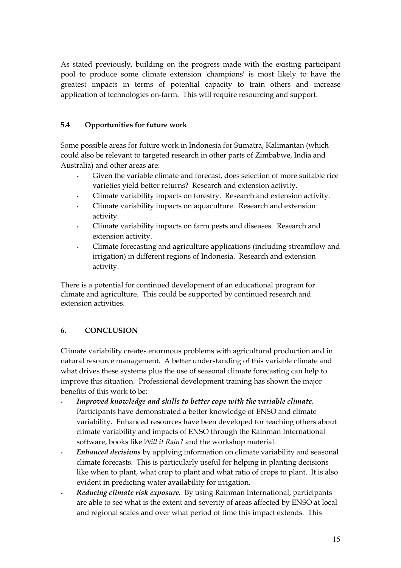As stated previously, building on the progress made with the existing participant pool to produce some climate extension 'champions' is most likely to have the greatest impacts in terms of potential capacity to train others and increase application of technologies on-farm. This will require resourcing and support.

### **5.4 Opportunities for future work**

Some possible areas for future work in Indonesia for Sumatra, Kalimantan (which could also be relevant to targeted research in other parts of Zimbabwe, India and Australia) and other areas are:

- Given the variable climate and forecast, does selection of more suitable rice varieties yield better returns? Research and extension activity.
- Climate variability impacts on forestry. Research and extension activity.
- Climate variability impacts on aquaculture. Research and extension activity.
- Climate variability impacts on farm pests and diseases. Research and extension activity.
- Climate forecasting and agriculture applications (including streamflow and irrigation) in different regions of Indonesia. Research and extension activity.

There is a potential for continued development of an educational program for climate and agriculture. This could be supported by continued research and extension activities.

# **6. CONCLUSION**

Climate variability creates enormous problems with agricultural production and in natural resource management. A better understanding of this variable climate and what drives these systems plus the use of seasonal climate forecasting can help to improve this situation. Professional development training has shown the major benefits of this work to be:

- *Improved knowledge and skills to better cope with the variable climate*. Participants have demonstrated a better knowledge of ENSO and climate variability. Enhanced resources have been developed for teaching others about climate variability and impacts of ENSO through the Rainman International software, books like *Will it Rain?* and the workshop material.
- *Enhanced decisions* by applying information on climate variability and seasonal climate forecasts. This is particularly useful for helping in planting decisions like when to plant, what crop to plant and what ratio of crops to plant. It is also evident in predicting water availability for irrigation.
- *Reducing climate risk exposure.* By using Rainman International, participants are able to see what is the extent and severity of areas affected by ENSO at local and regional scales and over what period of time this impact extends. This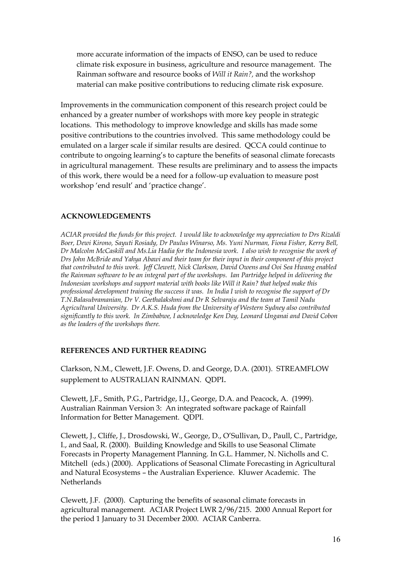more accurate information of the impacts of ENSO, can be used to reduce climate risk exposure in business, agriculture and resource management. The Rainman software and resource books of *Will it Rain?,* and the workshop material can make positive contributions to reducing climate risk exposure.

Improvements in the communication component of this research project could be enhanced by a greater number of workshops with more key people in strategic locations. This methodology to improve knowledge and skills has made some positive contributions to the countries involved. This same methodology could be emulated on a larger scale if similar results are desired. QCCA could continue to contribute to ongoing learning's to capture the benefits of seasonal climate forecasts in agricultural management. These results are preliminary and to assess the impacts of this work, there would be a need for a follow-up evaluation to measure post workshop 'end result' and 'practice change'.

#### **ACKNOWLEDGEMENTS**

*ACIAR provided the funds for this project. I would like to acknowledge my appreciation to Drs Rizaldi Boer, Dewi Kirono, Sayuti Rosiady, Dr Paulus Winarso, Ms. Yuni Nurman, Fiona Fisher, Kerry Bell, Dr Malcolm McCaskill and Ms.Lia Hadia for the Indonesia work. I also wish to recognise the work of Drs John McBride and Yahya Abawi and their team for their input in their component of this project that contributed to this work. Jeff Clewett, Nick Clarkson, David Owens and Ooi Sea Hwang enabled the Rainman software to be an integral part of the workshops. Ian Partridge helped in delivering the Indonesian workshops and support material with books like Will it Rain? that helped make this professional development training the success it was. In India I wish to recognise the support of Dr T.N.Balasubramanian, Dr V. Geethalakshmi and Dr R Selvaraju and the team at Tamil Nadu Agricultural University. Dr A.K.S. Huda from the University of Western Sydney also contributed significantly to this work. In Zimbabwe, I acknowledge Ken Day, Leonard Unganai and David Cobon as the leaders of the workshops there.* 

#### **REFERENCES AND FURTHER READING**

Clarkson, N.M., Clewett, J.F. Owens, D. and George, D.A. (2001). STREAMFLOW supplement to AUSTRALIAN RAINMAN. QDPI.

Clewett, J,F., Smith, P.G., Partridge, I.J., George, D.A. and Peacock, A. (1999). Australian Rainman Version 3: An integrated software package of Rainfall Information for Better Management. QDPI.

Clewett, J., Cliffe, J., Drosdowski, W., George, D., O'Sullivan, D., Paull, C., Partridge, I., and Saal, R. (2000). Building Knowledge and Skills to use Seasonal Climate Forecasts in Property Management Planning. In G.L. Hammer, N. Nicholls and C. Mitchell (eds.) (2000). Applications of Seasonal Climate Forecasting in Agricultural and Natural Ecosystems – the Australian Experience. Kluwer Academic. The Netherlands

Clewett, J.F. (2000). Capturing the benefits of seasonal climate forecasts in agricultural management. ACIAR Project LWR 2/96/215. 2000 Annual Report for the period 1 January to 31 December 2000. ACIAR Canberra.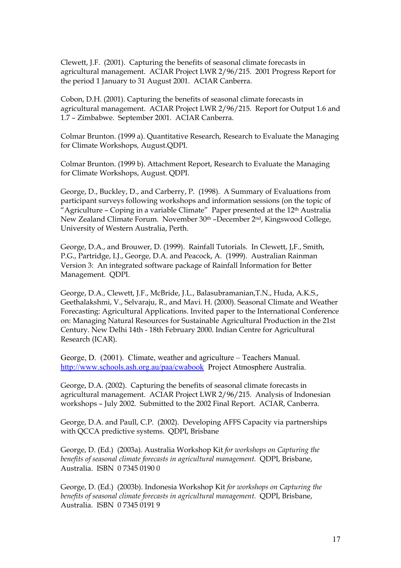Clewett, J.F. (2001). Capturing the benefits of seasonal climate forecasts in agricultural management. ACIAR Project LWR 2/96/215. 2001 Progress Report for the period 1 January to 31 August 2001. ACIAR Canberra.

Cobon, D.H. (2001). Capturing the benefits of seasonal climate forecasts in agricultural management. ACIAR Project LWR 2/96/215. Report for Output 1.6 and 1.7 – Zimbabwe. September 2001. ACIAR Canberra.

Colmar Brunton. (1999 a). Quantitative Research, Research to Evaluate the Managing for Climate Workshops*,* August.QDPI.

Colmar Brunton. (1999 b). Attachment Report, Research to Evaluate the Managing for Climate Workshops, August. QDPI.

George, D., Buckley, D., and Carberry, P. (1998). A Summary of Evaluations from participant surveys following workshops and information sessions (on the topic of "Agriculture – Coping in a variable Climate" Paper presented at the 12th Australia New Zealand Climate Forum. November 30th –December 2nd, Kingswood College, University of Western Australia, Perth.

George, D.A., and Brouwer, D. (1999). Rainfall Tutorials. In Clewett, J,F., Smith, P.G., Partridge, I.J., George, D.A. and Peacock, A. (1999). Australian Rainman Version 3: An integrated software package of Rainfall Information for Better Management. QDPI.

George, D.A., Clewett, J.F., McBride, J.L., Balasubramanian,T.N., Huda, A.K.S., Geethalakshmi, V., Selvaraju, R., and Mavi. H. (2000). Seasonal Climate and Weather Forecasting: Agricultural Applications. Invited paper to the International Conference on: Managing Natural Resources for Sustainable Agricultural Production in the 21st Century. New Delhi 14th - 18th February 2000. Indian Centre for Agricultural Research (ICAR).

George, D. (2001). Climate, weather and agriculture – Teachers Manual. <http://www.schools.ash.org.au/paa/cwabook>Project Atmosphere Australia.

George, D.A. (2002). Capturing the benefits of seasonal climate forecasts in agricultural management. ACIAR Project LWR 2/96/215. Analysis of Indonesian workshops – July 2002. Submitted to the 2002 Final Report. ACIAR, Canberra.

George, D.A. and Paull, C.P. (2002). Developing AFFS Capacity via partnerships with QCCA predictive systems. QDPI, Brisbane

George, D. (Ed.) (2003a). Australia Workshop Kit *for workshops on Capturing the benefits of seasonal climate forecasts in agricultural management.* QDPI, Brisbane, Australia. ISBN 0 7345 0190 0

George, D. (Ed.) (2003b). Indonesia Workshop Kit *for workshops on Capturing the benefits of seasonal climate forecasts in agricultural management.* QDPI, Brisbane, Australia. ISBN 0 7345 0191 9